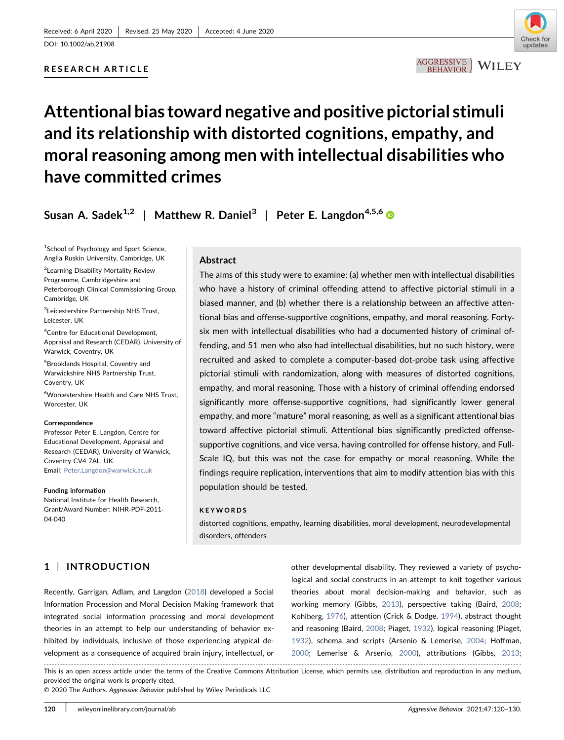## RESEARCH ARTICLE



## AGGRESSIVE WILEY

# Attentional bias toward negative and positive pictorial stimuli and its relationship with distorted cognitions, empathy, and moral reasoning among men with intellectual disabilities who have committed crimes

Susan A. Sadek<sup>1,2</sup> | Matthew R. Daniel<sup>3</sup> | Peter E. Langdon<sup>4,5,6</sup>

<sup>1</sup>School of Psychology and Sport Science, Anglia Ruskin University, Cambridge, UK

<sup>2</sup>Learning Disability Mortality Review Programme, Cambridgeshire and Peterborough Clinical Commissioning Group, Cambridge, UK

3 Leicestershire Partnership NHS Trust, Leicester, UK

4 Centre for Educational Development, Appraisal and Research (CEDAR), University of Warwick, Coventry, UK

5 Brooklands Hospital, Coventry and Warwickshire NHS Partnership Trust, Coventry, UK

6 Worcestershire Health and Care NHS Trust, Worcester, UK

#### Correspondence

Professor Peter E. Langdon, Centre for Educational Development, Appraisal and Research (CEDAR), University of Warwick, Coventry CV4 7AL, UK. Email: [Peter.Langdon@warwick.ac.uk](mailto:Peter.Langdon@warwick.ac.uk)

Funding information

National Institute for Health Research, Grant/Award Number: NIHR‐PDF‐2011‐ 04‐040

1 | INTRODUCTION

## Abstract

The aims of this study were to examine: (a) whether men with intellectual disabilities who have a history of criminal offending attend to affective pictorial stimuli in a biased manner, and (b) whether there is a relationship between an affective attentional bias and offense‐supportive cognitions, empathy, and moral reasoning. Forty‐ six men with intellectual disabilities who had a documented history of criminal offending, and 51 men who also had intellectual disabilities, but no such history, were recruited and asked to complete a computer‐based dot‐probe task using affective pictorial stimuli with randomization, along with measures of distorted cognitions, empathy, and moral reasoning. Those with a history of criminal offending endorsed significantly more offense‐supportive cognitions, had significantly lower general empathy, and more "mature" moral reasoning, as well as a significant attentional bias toward affective pictorial stimuli. Attentional bias significantly predicted offense‐ supportive cognitions, and vice versa, having controlled for offense history, and Full-Scale IQ, but this was not the case for empathy or moral reasoning. While the findings require replication, interventions that aim to modify attention bias with this population should be tested.

#### **KEYWORDS**

distorted cognitions, empathy, learning disabilities, moral development, neurodevelopmental disorders, offenders

Recently, Garrigan, Adlam, and Langdon ([2018](#page-8-0)) developed a Social Information Procession and Moral Decision Making framework that integrated social information processing and moral development theories in an attempt to help our understanding of behavior exhibited by individuals, inclusive of those experiencing atypical development as a consequence of acquired brain injury, intellectual, or

other developmental disability. They reviewed a variety of psychological and social constructs in an attempt to knit together various theories about moral decision‐making and behavior, such as working memory (Gibbs, [2013\)](#page-8-0), perspective taking (Baird, [2008;](#page-8-0) Kohlberg, [1976](#page-9-0)), attention (Crick & Dodge, [1994\)](#page-8-0), abstract thought and reasoning (Baird, [2008;](#page-8-0) Piaget, [1932\)](#page-9-0), logical reasoning (Piaget, [1932](#page-9-0)), schema and scripts (Arsenio & Lemerise, [2004](#page-8-0); Hoffman, [2000](#page-8-0); Lemerise & Arsenio, [2000\)](#page-9-0), attributions (Gibbs, [2013;](#page-8-0)

This is an open access article under the terms of the Creative Commons Attribution License, which permits use, distribution and reproduction in any medium, provided the original work is properly cited.

© 2020 The Authors. Aggressive Behavior published by Wiley Periodicals LLC

------------------------------------------------------------------------------------------------------------------------------------------------------------------------------- -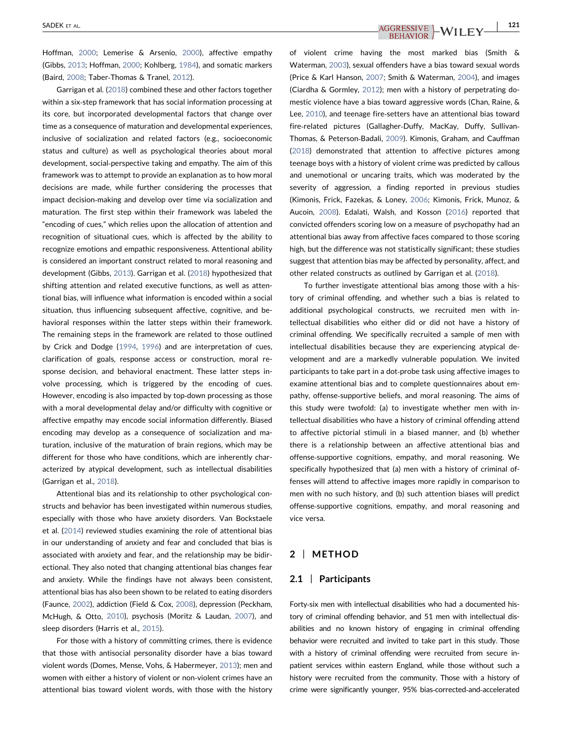Hoffman, [2000](#page-8-0); Lemerise & Arsenio, [2000\)](#page-9-0), affective empathy (Gibbs, [2013](#page-8-0); Hoffman, [2000;](#page-8-0) Kohlberg, [1984](#page-9-0)), and somatic markers (Baird, [2008;](#page-8-0) Taber‐Thomas & Tranel, [2012\)](#page-9-0).

Garrigan et al. [\(2018](#page-8-0)) combined these and other factors together within a six‐step framework that has social information processing at its core, but incorporated developmental factors that change over time as a consequence of maturation and developmental experiences, inclusive of socialization and related factors (e.g., socioeconomic status and culture) as well as psychological theories about moral development, social‐perspective taking and empathy. The aim of this framework was to attempt to provide an explanation as to how moral decisions are made, while further considering the processes that impact decision‐making and develop over time via socialization and maturation. The first step within their framework was labeled the "encoding of cues," which relies upon the allocation of attention and recognition of situational cues, which is affected by the ability to recognize emotions and empathic responsiveness. Attentional ability is considered an important construct related to moral reasoning and development (Gibbs, [2013](#page-8-0)). Garrigan et al. ([2018](#page-8-0)) hypothesized that shifting attention and related executive functions, as well as attentional bias, will influence what information is encoded within a social situation, thus influencing subsequent affective, cognitive, and behavioral responses within the latter steps within their framework. The remaining steps in the framework are related to those outlined by Crick and Dodge [\(1994,](#page-8-0) [1996\)](#page-8-0) and are interpretation of cues, clarification of goals, response access or construction, moral response decision, and behavioral enactment. These latter steps involve processing, which is triggered by the encoding of cues. However, encoding is also impacted by top-down processing as those with a moral developmental delay and/or difficulty with cognitive or affective empathy may encode social information differently. Biased encoding may develop as a consequence of socialization and maturation, inclusive of the maturation of brain regions, which may be different for those who have conditions, which are inherently characterized by atypical development, such as intellectual disabilities (Garrigan et al., [2018](#page-8-0)).

Attentional bias and its relationship to other psychological constructs and behavior has been investigated within numerous studies, especially with those who have anxiety disorders. Van Bockstaele et al. [\(2014\)](#page-9-0) reviewed studies examining the role of attentional bias in our understanding of anxiety and fear and concluded that bias is associated with anxiety and fear, and the relationship may be bidirectional. They also noted that changing attentional bias changes fear and anxiety. While the findings have not always been consistent, attentional bias has also been shown to be related to eating disorders (Faunce, [2002](#page-8-0)), addiction (Field & Cox, [2008](#page-8-0)), depression (Peckham, McHugh, & Otto, [2010](#page-9-0)), psychosis (Moritz & Laudan, [2007\)](#page-9-0), and sleep disorders (Harris et al., [2015\)](#page-8-0).

For those with a history of committing crimes, there is evidence that those with antisocial personality disorder have a bias toward violent words (Domes, Mense, Vohs, & Habermeyer, [2013](#page-8-0)); men and women with either a history of violent or non‐violent crimes have an attentional bias toward violent words, with those with the history

## SADEK ET AL.  $\overline{AGGRESSIVE}$   $\rightarrow$   $\overline{WILEY}$   $\rightarrow$   $\overline{121}$

of violent crime having the most marked bias (Smith & Waterman, [2003](#page-9-0)), sexual offenders have a bias toward sexual words (Price & Karl Hanson, [2007](#page-9-0); Smith & Waterman, [2004\)](#page-9-0), and images (Ciardha & Gormley, [2012](#page-8-0)); men with a history of perpetrating domestic violence have a bias toward aggressive words (Chan, Raine, & Lee, [2010](#page-8-0)), and teenage fire-setters have an attentional bias toward fire-related pictures (Gallagher-Duffy, MacKay, Duffy, Sullivan-Thomas, & Peterson‐Badali, [2009\)](#page-8-0). Kimonis, Graham, and Cauffman [\(2018\)](#page-9-0) demonstrated that attention to affective pictures among teenage boys with a history of violent crime was predicted by callous and unemotional or uncaring traits, which was moderated by the severity of aggression, a finding reported in previous studies (Kimonis, Frick, Fazekas, & Loney, [2006;](#page-9-0) Kimonis, Frick, Munoz, & Aucoin, [2008](#page-9-0)). Edalati, Walsh, and Kosson [\(2016\)](#page-8-0) reported that convicted offenders scoring low on a measure of psychopathy had an attentional bias away from affective faces compared to those scoring high, but the difference was not statistically significant; these studies suggest that attention bias may be affected by personality, affect, and other related constructs as outlined by Garrigan et al. [\(2018\)](#page-8-0).

To further investigate attentional bias among those with a history of criminal offending, and whether such a bias is related to additional psychological constructs, we recruited men with intellectual disabilities who either did or did not have a history of criminal offending. We specifically recruited a sample of men with intellectual disabilities because they are experiencing atypical development and are a markedly vulnerable population. We invited participants to take part in a dot‐probe task using affective images to examine attentional bias and to complete questionnaires about empathy, offense-supportive beliefs, and moral reasoning. The aims of this study were twofold: (a) to investigate whether men with intellectual disabilities who have a history of criminal offending attend to affective pictorial stimuli in a biased manner, and (b) whether there is a relationship between an affective attentional bias and offense‐supportive cognitions, empathy, and moral reasoning. We specifically hypothesized that (a) men with a history of criminal offenses will attend to affective images more rapidly in comparison to men with no such history, and (b) such attention biases will predict offense‐supportive cognitions, empathy, and moral reasoning and vice versa.

## 2 | METHOD

## 2.1 | Participants

Forty‐six men with intellectual disabilities who had a documented history of criminal offending behavior, and 51 men with intellectual disabilities and no known history of engaging in criminal offending behavior were recruited and invited to take part in this study. Those with a history of criminal offending were recruited from secure inpatient services within eastern England, while those without such a history were recruited from the community. Those with a history of crime were significantly younger, 95% bias‐corrected‐and‐accelerated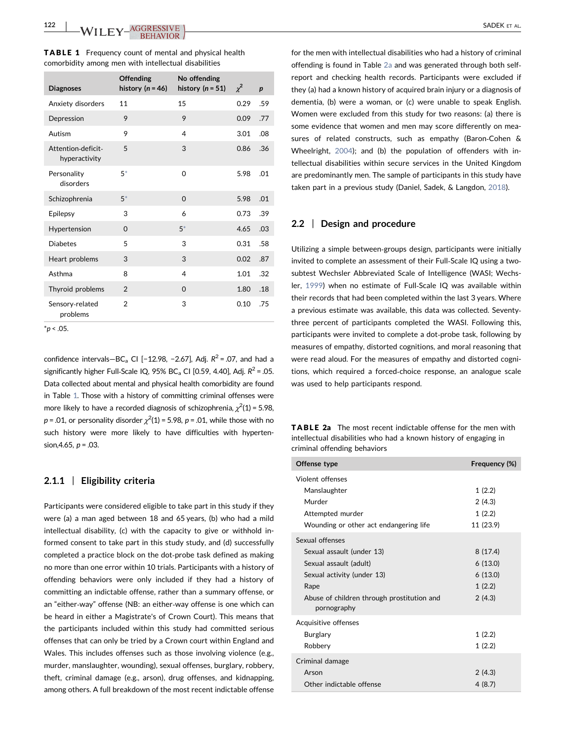<span id="page-2-0"></span>

| <b>TABLE 1</b> Frequency count of mental and physical health |  |
|--------------------------------------------------------------|--|
| comorbidity among men with intellectual disabilities         |  |

| <b>Diagnoses</b>                    | <b>Offending</b><br>history ( $n = 46$ ) | No offending<br>history ( $n = 51$ ) | $\chi^2$ | $\boldsymbol{p}$ |
|-------------------------------------|------------------------------------------|--------------------------------------|----------|------------------|
| Anxiety disorders                   | 11                                       | 15                                   | 0.29     | .59              |
| Depression                          | 9                                        | 9                                    | 0.09     | .77              |
| Autism                              | 9                                        | 4                                    | 3.01     | .08              |
| Attention-deficit-<br>hyperactivity | 5                                        | 3                                    | 0.86     | .36              |
| Personality<br>disorders            | $5*$                                     | $\Omega$                             | 5.98     | .01              |
| Schizophrenia                       | $5*$                                     | $\Omega$                             | 5.98     | .01              |
| Epilepsy                            | 3                                        | 6                                    | 0.73     | .39              |
| Hypertension                        | $\Omega$                                 | $5*$                                 | 4.65     | .03              |
| <b>Diabetes</b>                     | 5                                        | 3                                    | 0.31     | .58              |
| Heart problems                      | 3                                        | 3                                    | 0.02     | .87              |
| Asthma                              | 8                                        | 4                                    | 1.01     | .32              |
| Thyroid problems                    | $\overline{2}$                           | $\Omega$                             | 1.80     | .18              |
| Sensory-related<br>problems         | $\overline{2}$                           | 3                                    | 0.10     | .75              |

<span id="page-2-2"></span> $*p < .05$ .

confidence intervals—BC<sub>a</sub> CI [−12.98, −2.67], Adj.  $R^2$  = .07, and had a significantly higher Full-Scale IQ, 95% BC<sub>a</sub> CI [0.59, 4.40], Adj.  $R^2$  = .05. Data collected about mental and physical health comorbidity are found in Table [1.](#page-2-0) Those with a history of committing criminal offenses were more likely to have a recorded diagnosis of schizophrenia,  $\chi^2(1)$  = 5.98,  $p$  = .01, or personality disorder  $\chi^2(1)$  = 5.98,  $p$  = .01, while those with no such history were more likely to have difficulties with hypertension, 4.65,  $p = .03$ .

## 2.1.1 | Eligibility criteria

Participants were considered eligible to take part in this study if they were (a) a man aged between 18 and 65 years, (b) who had a mild intellectual disability, (c) with the capacity to give or withhold informed consent to take part in this study study, and (d) successfully completed a practice block on the dot‐probe task defined as making no more than one error within 10 trials. Participants with a history of offending behaviors were only included if they had a history of committing an indictable offense, rather than a summary offense, or an "either‐way" offense (NB: an either‐way offense is one which can be heard in either a Magistrate's of Crown Court). This means that the participants included within this study had committed serious offenses that can only be tried by a Crown court within England and Wales. This includes offenses such as those involving violence (e.g., murder, manslaughter, wounding), sexual offenses, burglary, robbery, theft, criminal damage (e.g., arson), drug offenses, and kidnapping, among others. A full breakdown of the most recent indictable offense

for the men with intellectual disabilities who had a history of criminal offending is found in Table [2a](#page-2-1) and was generated through both self‐ report and checking health records. Participants were excluded if they (a) had a known history of acquired brain injury or a diagnosis of dementia, (b) were a woman, or (c) were unable to speak English. Women were excluded from this study for two reasons: (a) there is some evidence that women and men may score differently on measures of related constructs, such as empathy (Baron‐Cohen & Wheelright, [2004](#page-8-0)); and (b) the population of offenders with intellectual disabilities within secure services in the United Kingdom are predominantly men. The sample of participants in this study have taken part in a previous study (Daniel, Sadek, & Langdon, [2018](#page-8-0)).

## 2.2 | Design and procedure

Utilizing a simple between‐groups design, participants were initially invited to complete an assessment of their Full-Scale IQ using a twosubtest Wechsler Abbreviated Scale of Intelligence (WASI; Wechsler, [1999\)](#page-10-0) when no estimate of Full‐Scale IQ was available within their records that had been completed within the last 3 years. Where a previous estimate was available, this data was collected. Seventy‐ three percent of participants completed the WASI. Following this, participants were invited to complete a dot‐probe task, following by measures of empathy, distorted cognitions, and moral reasoning that were read aloud. For the measures of empathy and distorted cognitions, which required a forced‐choice response, an analogue scale was used to help participants respond.

<span id="page-2-1"></span>

| <b>TABLE 2a</b> The most recent indictable offense for the men with |
|---------------------------------------------------------------------|
| intellectual disabilities who had a known history of engaging in    |
| criminal offending behaviors                                        |

| Offense type                                              | Frequency (%) |
|-----------------------------------------------------------|---------------|
| Violent offenses                                          |               |
| Manslaughter                                              | 1(2.2)        |
| Murder                                                    | 2(4.3)        |
| Attempted murder                                          | 1(2.2)        |
| Wounding or other act endangering life                    | 11 (23.9)     |
| Sexual offenses                                           |               |
| Sexual assault (under 13)                                 | 8(17.4)       |
| Sexual assault (adult)                                    | 6(13.0)       |
| Sexual activity (under 13)                                | 6(13.0)       |
| Rape                                                      | 1(2.2)        |
| Abuse of children through prostitution and<br>pornography | 2(4.3)        |
| Acquisitive offenses                                      |               |
| Burglary                                                  | 1(2.2)        |
| Robbery                                                   | 1(2.2)        |
| Criminal damage                                           |               |
| Arson                                                     | 2(4.3)        |
| Other indictable offense                                  | 4(8.7)        |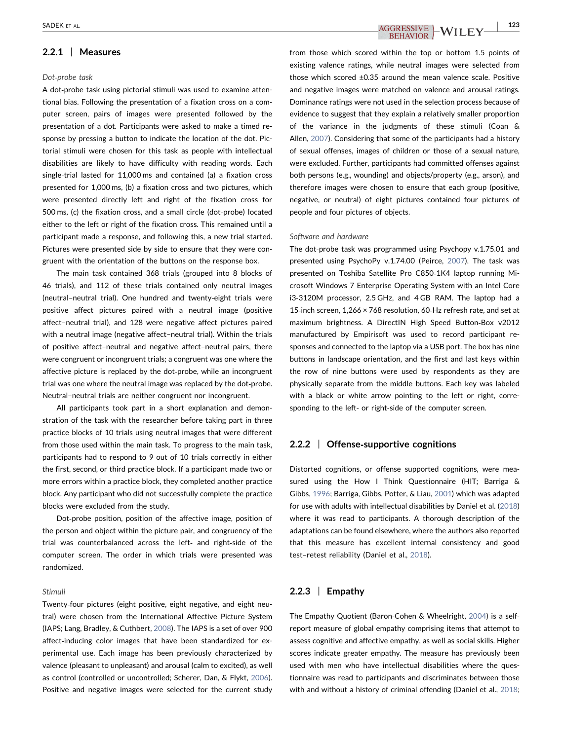## 2.2.1 | Measures

#### Dot‐probe task

A dot‐probe task using pictorial stimuli was used to examine attentional bias. Following the presentation of a fixation cross on a computer screen, pairs of images were presented followed by the presentation of a dot. Participants were asked to make a timed response by pressing a button to indicate the location of the dot. Pictorial stimuli were chosen for this task as people with intellectual disabilities are likely to have difficulty with reading words. Each single-trial lasted for 11,000 ms and contained (a) a fixation cross presented for 1,000 ms, (b) a fixation cross and two pictures, which were presented directly left and right of the fixation cross for 500 ms, (c) the fixation cross, and a small circle (dot‐probe) located either to the left or right of the fixation cross. This remained until a participant made a response, and following this, a new trial started. Pictures were presented side by side to ensure that they were congruent with the orientation of the buttons on the response box.

The main task contained 368 trials (grouped into 8 blocks of 46 trials), and 112 of these trials contained only neutral images (neutral–neutral trial). One hundred and twenty‐eight trials were positive affect pictures paired with a neutral image (positive affect–neutral trial), and 128 were negative affect pictures paired with a neutral image (negative affect–neutral trial). Within the trials of positive affect–neutral and negative affect–neutral pairs, there were congruent or incongruent trials; a congruent was one where the affective picture is replaced by the dot‐probe, while an incongruent trial was one where the neutral image was replaced by the dot-probe. Neutral–neutral trials are neither congruent nor incongruent.

All participants took part in a short explanation and demonstration of the task with the researcher before taking part in three practice blocks of 10 trials using neutral images that were different from those used within the main task. To progress to the main task, participants had to respond to 9 out of 10 trials correctly in either the first, second, or third practice block. If a participant made two or more errors within a practice block, they completed another practice block. Any participant who did not successfully complete the practice blocks were excluded from the study.

Dot-probe position, position of the affective image, position of the person and object within the picture pair, and congruency of the trial was counterbalanced across the left‐ and right‐side of the computer screen. The order in which trials were presented was randomized.

#### Stimuli

Twenty‐four pictures (eight positive, eight negative, and eight neutral) were chosen from the International Affective Picture System (IAPS; Lang, Bradley, & Cuthbert, [2008\)](#page-9-0). The IAPS is a set of over 900 affect-inducing color images that have been standardized for experimental use. Each image has been previously characterized by valence (pleasant to unpleasant) and arousal (calm to excited), as well as control (controlled or uncontrolled; Scherer, Dan, & Flykt, [2006\)](#page-9-0). Positive and negative images were selected for the current study

SADEK ET AL.  $\overline{AGGRESSIVE}$   $\rightarrow$   $\overline{WILEY}$   $\rightarrow$   $\overline{123}$ 

from those which scored within the top or bottom 1.5 points of existing valence ratings, while neutral images were selected from those which scored ±0.35 around the mean valence scale. Positive and negative images were matched on valence and arousal ratings. Dominance ratings were not used in the selection process because of evidence to suggest that they explain a relatively smaller proportion of the variance in the judgments of these stimuli (Coan & Allen, [2007\)](#page-8-0). Considering that some of the participants had a history of sexual offenses, images of children or those of a sexual nature, were excluded. Further, participants had committed offenses against both persons (e.g., wounding) and objects/property (e.g., arson), and therefore images were chosen to ensure that each group (positive, negative, or neutral) of eight pictures contained four pictures of people and four pictures of objects.

#### Software and hardware

The dot‐probe task was programmed using Psychopy v.1.75.01 and presented using PsychoPy v.1.74.00 (Peirce, [2007](#page-9-0)). The task was presented on Toshiba Satellite Pro C850‐1K4 laptop running Microsoft Windows 7 Enterprise Operating System with an Intel Core i3‐3120M processor, 2.5 GHz, and 4 GB RAM. The laptop had a 15-inch screen, 1,266 × 768 resolution, 60-Hz refresh rate, and set at maximum brightness. A DirectIN High Speed Button‐Box v2012 manufactured by Empirisoft was used to record participant responses and connected to the laptop via a USB port. The box has nine buttons in landscape orientation, and the first and last keys within the row of nine buttons were used by respondents as they are physically separate from the middle buttons. Each key was labeled with a black or white arrow pointing to the left or right, corresponding to the left‐ or right‐side of the computer screen.

## 2.2.2 | Offense-supportive cognitions

Distorted cognitions, or offense supported cognitions, were measured using the How I Think Questionnaire (HIT; Barriga & Gibbs, [1996;](#page-8-0) Barriga, Gibbs, Potter, & Liau, [2001](#page-8-0)) which was adapted for use with adults with intellectual disabilities by Daniel et al. ([2018](#page-8-0)) where it was read to participants. A thorough description of the adaptations can be found elsewhere, where the authors also reported that this measure has excellent internal consistency and good test–retest reliability (Daniel et al., [2018\)](#page-8-0).

## $2.2.3$  | Empathy

The Empathy Quotient (Baron‐Cohen & Wheelright, [2004\)](#page-8-0) is a self‐ report measure of global empathy comprising items that attempt to assess cognitive and affective empathy, as well as social skills. Higher scores indicate greater empathy. The measure has previously been used with men who have intellectual disabilities where the questionnaire was read to participants and discriminates between those with and without a history of criminal offending (Daniel et al., [2018;](#page-8-0)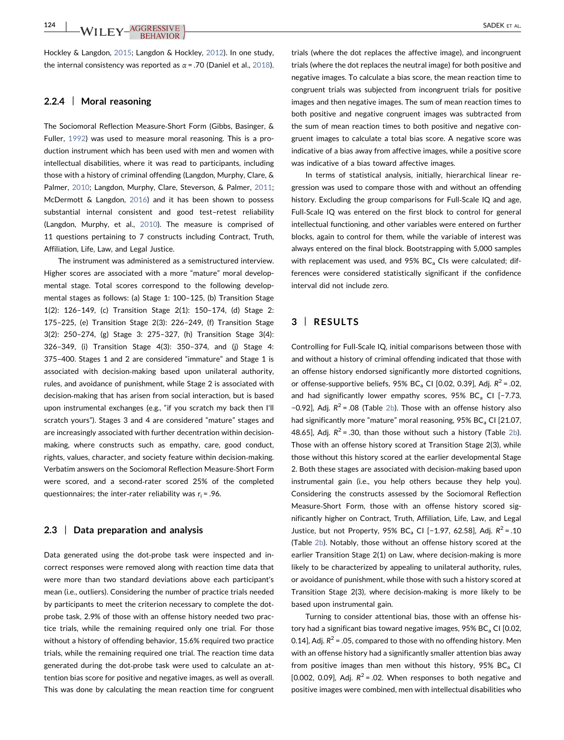Hockley & Langdon, [2015;](#page-8-0) Langdon & Hockley, [2012](#page-9-0)). In one study, the internal consistency was reported as  $\alpha$  = .70 (Daniel et al., [2018](#page-8-0)).

## 2.2.4 | Moral reasoning

The Sociomoral Reflection Measure‐Short Form (Gibbs, Basinger, & Fuller, [1992](#page-8-0)) was used to measure moral reasoning. This is a production instrument which has been used with men and women with intellectual disabilities, where it was read to participants, including those with a history of criminal offending (Langdon, Murphy, Clare, & Palmer, [2010;](#page-9-0) Langdon, Murphy, Clare, Steverson, & Palmer, [2011](#page-9-0); McDermott & Langdon, [2016](#page-9-0)) and it has been shown to possess substantial internal consistent and good test–retest reliability (Langdon, Murphy, et al., [2010](#page-9-0)). The measure is comprised of 11 questions pertaining to 7 constructs including Contract, Truth, Affiliation, Life, Law, and Legal Justice.

The instrument was administered as a semistructured interview. Higher scores are associated with a more "mature" moral developmental stage. Total scores correspond to the following developmental stages as follows: (a) Stage 1: 100–125, (b) Transition Stage 1(2): 126–149, (c) Transition Stage 2(1): 150–174, (d) Stage 2: 175–225, (e) Transition Stage 2(3): 226–249, (f) Transition Stage 3(2): 250–274, (g) Stage 3: 275–327, (h) Transition Stage 3(4): 326–349, (i) Transition Stage 4(3): 350–374, and (j) Stage 4: 375–400. Stages 1 and 2 are considered "immature" and Stage 1 is associated with decision‐making based upon unilateral authority, rules, and avoidance of punishment, while Stage 2 is associated with decision‐making that has arisen from social interaction, but is based upon instrumental exchanges (e.g., "if you scratch my back then I'll scratch yours"). Stages 3 and 4 are considered "mature" stages and are increasingly associated with further decentration within decision‐ making, where constructs such as empathy, care, good conduct, rights, values, character, and society feature within decision‐making. Verbatim answers on the Sociomoral Reflection Measure‐Short Form were scored, and a second‐rater scored 25% of the completed questionnaires; the inter-rater reliability was  $r_i = .96$ .

## 2.3 | Data preparation and analysis

Data generated using the dot-probe task were inspected and incorrect responses were removed along with reaction time data that were more than two standard deviations above each participant's mean (i.e., outliers). Considering the number of practice trials needed by participants to meet the criterion necessary to complete the dot‐ probe task, 2.9% of those with an offense history needed two practice trials, while the remaining required only one trial. For those without a history of offending behavior, 15.6% required two practice trials, while the remaining required one trial. The reaction time data generated during the dot‐probe task were used to calculate an attention bias score for positive and negative images, as well as overall. This was done by calculating the mean reaction time for congruent trials (where the dot replaces the affective image), and incongruent trials (where the dot replaces the neutral image) for both positive and negative images. To calculate a bias score, the mean reaction time to congruent trials was subjected from incongruent trials for positive images and then negative images. The sum of mean reaction times to both positive and negative congruent images was subtracted from the sum of mean reaction times to both positive and negative congruent images to calculate a total bias score. A negative score was indicative of a bias away from affective images, while a positive score was indicative of a bias toward affective images.

In terms of statistical analysis, initially, hierarchical linear regression was used to compare those with and without an offending history. Excluding the group comparisons for Full-Scale IQ and age, Full-Scale IQ was entered on the first block to control for general intellectual functioning, and other variables were entered on further blocks, again to control for them, while the variable of interest was always entered on the final block. Bootstrapping with 5,000 samples with replacement was used, and  $95\%$  BC<sub>a</sub> CIs were calculated; differences were considered statistically significant if the confidence interval did not include zero.

## 3 | RESULTS

Controlling for Full‐Scale IQ, initial comparisons between those with and without a history of criminal offending indicated that those with an offense history endorsed significantly more distorted cognitions, or offense-supportive beliefs, 95% BC<sub>a</sub> CI [0.02, 0.39], Adj.  $R^2$  = .02, and had significantly lower empathy scores, 95% BC<sub>a</sub> CI [-7.73, −0.92], Adj.  $R^2$  = .08 (Table [2b\)](#page-5-0). Those with an offense history also had significantly more "mature" moral reasoning,  $95\%$  BC<sub>a</sub> CI [21.07, 48.65], Adj.  $R^2$  = .30, than those without such a history (Table [2b](#page-5-0)). Those with an offense history scored at Transition Stage 2(3), while those without this history scored at the earlier developmental Stage 2. Both these stages are associated with decision‐making based upon instrumental gain (i.e., you help others because they help you). Considering the constructs assessed by the Sociomoral Reflection Measure‐Short Form, those with an offense history scored significantly higher on Contract, Truth, Affiliation, Life, Law, and Legal Justice, but not Property, 95% BC<sub>a</sub> CI [-1.97, 62.58], Adj.  $R^2 = .10$ (Table [2b\)](#page-5-0). Notably, those without an offense history scored at the earlier Transition Stage 2(1) on Law, where decision-making is more likely to be characterized by appealing to unilateral authority, rules, or avoidance of punishment, while those with such a history scored at Transition Stage 2(3), where decision‐making is more likely to be based upon instrumental gain.

Turning to consider attentional bias, those with an offense history had a significant bias toward negative images,  $95\%$  BC<sub>a</sub> CI [0.02, 0.14], Adj.  $R^2$  = .05, compared to those with no offending history. Men with an offense history had a significantly smaller attention bias away from positive images than men without this history, 95%  $BC<sub>a</sub>$  CI [0.002, 0.09], Adj.  $R^2$  = .02. When responses to both negative and positive images were combined, men with intellectual disabilities who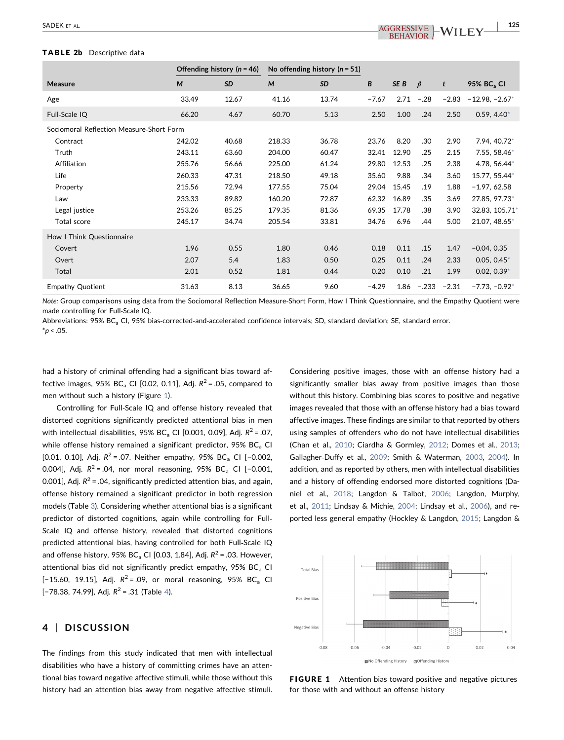## <span id="page-5-0"></span>TABLE 2b Descriptive data

|                                          | Offending history ( $n = 46$ ) |           | No offending history ( $n = 51$ ) |           |         |       |         |         |                        |
|------------------------------------------|--------------------------------|-----------|-----------------------------------|-----------|---------|-------|---------|---------|------------------------|
| <b>Measure</b>                           | M                              | <b>SD</b> | M                                 | <b>SD</b> | B       | SE B  | $\beta$ | t       | 95% BC <sub>a</sub> CI |
| Age                                      | 33.49                          | 12.67     | 41.16                             | 13.74     | $-7.67$ | 2.71  | $-.28$  | $-2.83$ | $-12.98, -2.67*$       |
| Full-Scale IQ                            | 66.20                          | 4.67      | 60.70                             | 5.13      | 2.50    | 1.00  | .24     | 2.50    | $0.59, 4.40*$          |
| Sociomoral Reflection Measure-Short Form |                                |           |                                   |           |         |       |         |         |                        |
| Contract                                 | 242.02                         | 40.68     | 218.33                            | 36.78     | 23.76   | 8.20  | .30     | 2.90    | 7.94, 40.72*           |
| Truth                                    | 243.11                         | 63.60     | 204.00                            | 60.47     | 32.41   | 12.90 | .25     | 2.15    | 7.55, 58.46*           |
| Affiliation                              | 255.76                         | 56.66     | 225.00                            | 61.24     | 29.80   | 12.53 | .25     | 2.38    | 4.78, 56.44*           |
| Life                                     | 260.33                         | 47.31     | 218.50                            | 49.18     | 35.60   | 9.88  | .34     | 3.60    | 15.77, 55.44*          |
| Property                                 | 215.56                         | 72.94     | 177.55                            | 75.04     | 29.04   | 15.45 | .19     | 1.88    | $-1.97, 62.58$         |
| Law                                      | 233.33                         | 89.82     | 160.20                            | 72.87     | 62.32   | 16.89 | .35     | 3.69    | 27.85, 97.73*          |
| Legal justice                            | 253.26                         | 85.25     | 179.35                            | 81.36     | 69.35   | 17.78 | .38     | 3.90    | 32.83, 105.71*         |
| <b>Total score</b>                       | 245.17                         | 34.74     | 205.54                            | 33.81     | 34.76   | 6.96  | .44     | 5.00    | 21.07, 48.65*          |
| How I Think Questionnaire                |                                |           |                                   |           |         |       |         |         |                        |
| Covert                                   | 1.96                           | 0.55      | 1.80                              | 0.46      | 0.18    | 0.11  | .15     | 1.47    | $-0.04, 0.35$          |
| Overt                                    | 2.07                           | 5.4       | 1.83                              | 0.50      | 0.25    | 0.11  | .24     | 2.33    | $0.05, 0.45*$          |
| Total                                    | 2.01                           | 0.52      | 1.81                              | 0.44      | 0.20    | 0.10  | .21     | 1.99    | $0.02, 0.39*$          |
| <b>Empathy Quotient</b>                  | 31.63                          | 8.13      | 36.65                             | 9.60      | $-4.29$ | 1.86  | $-.233$ | $-2.31$ | $-7.73, -0.92*$        |

Note: Group comparisons using data from the Sociomoral Reflection Measure‐Short Form, How I Think Questionnaire, and the Empathy Quotient were made controlling for Full‐Scale IQ.

<span id="page-5-2"></span>Abbreviations: 95% BC<sub>a</sub> CI, 95% bias-corrected-and-accelerated confidence intervals; SD, standard deviation; SE, standard error.  $*_{p}$  < .05.

had a history of criminal offending had a significant bias toward affective images, 95% BC<sub>a</sub> CI [0.02, 0.11], Adj.  $R^2$  = .05, compared to men without such a history (Figure [1](#page-5-1)).

Controlling for Full‐Scale IQ and offense history revealed that distorted cognitions significantly predicted attentional bias in men with intellectual disabilities, 95% BC<sub>a</sub> CI [0.001, 0.09], Adj.  $R^2$  = .07, while offense history remained a significant predictor,  $95\%$  BC<sub>a</sub> CI [0.01, 0.10], Adj.  $R^2 = .07$ . Neither empathy, 95% BC<sub>a</sub> CI [-0.002, 0.004], Adj.  $R^2 = .04$ , nor moral reasoning, 95% BC<sub>a</sub> CI [-0.001, 0.001], Adj.  $R^2$  = .04, significantly predicted attention bias, and again, offense history remained a significant predictor in both regression models (Table [3](#page-6-0)). Considering whether attentional bias is a significant predictor of distorted cognitions, again while controlling for Full‐ Scale IQ and offense history, revealed that distorted cognitions predicted attentional bias, having controlled for both Full‐Scale IQ and offense history, 95% BC<sub>a</sub> CI [0.03, 1.84], Adj.  $R^2$  = .03. However, attentional bias did not significantly predict empathy,  $95\%$  BC<sub>a</sub> CI [-15.60, 19.15], Adj.  $R^2 = .09$ , or moral reasoning, 95% BC<sub>a</sub> CI [-78.38, 7[4](#page-6-1).99], Adj.  $R^2$  = .31 (Table 4).

## 4 | DISCUSSION

The findings from this study indicated that men with intellectual disabilities who have a history of committing crimes have an attentional bias toward negative affective stimuli, while those without this history had an attention bias away from negative affective stimuli. Considering positive images, those with an offense history had a significantly smaller bias away from positive images than those without this history. Combining bias scores to positive and negative images revealed that those with an offense history had a bias toward affective images. These findings are similar to that reported by others using samples of offenders who do not have intellectual disabilities (Chan et al., [2010](#page-8-0); Ciardha & Gormley, [2012](#page-8-0); Domes et al., [2013;](#page-8-0) Gallagher‐Duffy et al., [2009](#page-8-0); Smith & Waterman, [2003,](#page-9-0) [2004\)](#page-9-0). In addition, and as reported by others, men with intellectual disabilities and a history of offending endorsed more distorted cognitions (Daniel et al., [2018;](#page-8-0) Langdon & Talbot, [2006](#page-9-0); Langdon, Murphy, et al., [2011;](#page-9-0) Lindsay & Michie, [2004;](#page-9-0) Lindsay et al., [2006](#page-9-0)), and reported less general empathy (Hockley & Langdon, [2015;](#page-8-0) Langdon &

<span id="page-5-1"></span>

**FIGURE 1** Attention bias toward positive and negative pictures for those with and without an offense history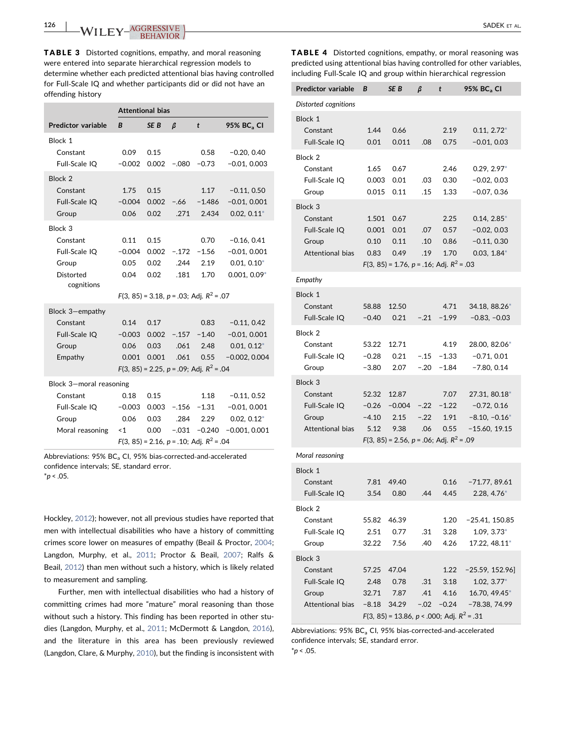<span id="page-6-0"></span>TABLE 3 Distorted cognitions, empathy, and moral reasoning were entered into separate hierarchical regression models to determine whether each predicted attentional bias having controlled for Full‐Scale IQ and whether participants did or did not have an offending history

|                           | <b>Attentional bias</b> |                 |         |                                                  |                        |  |  |
|---------------------------|-------------------------|-----------------|---------|--------------------------------------------------|------------------------|--|--|
| <b>Predictor variable</b> | B                       | SE <sub>B</sub> | $\beta$ | t                                                | 95% BC <sub>3</sub> CI |  |  |
| Block 1                   |                         |                 |         |                                                  |                        |  |  |
| Constant                  | 0.09                    | 0.15            |         | 0.58                                             | $-0.20, 0.40$          |  |  |
| Full-Scale IQ             | $-0.002$                | 0.002           | $-.080$ | $-0.73$                                          | $-0.01, 0.003$         |  |  |
| <b>Block 2</b>            |                         |                 |         |                                                  |                        |  |  |
| Constant                  | 1.75                    | 0.15            |         | 1.17                                             | $-0.11, 0.50$          |  |  |
| Full-Scale IQ             | $-0.004$                | 0.002           | -.66    | $-1.486$                                         | $-0.01, 0.001$         |  |  |
| Group                     | 0.06                    | 0.02            | .271    | 2.434                                            | $0.02, 0.11*$          |  |  |
| Block <sub>3</sub>        |                         |                 |         |                                                  |                        |  |  |
| Constant                  | 0.11                    | 0.15            |         | 0.70                                             | $-0.16, 0.41$          |  |  |
| Full-Scale IQ             | $-0.004$                | 0.002           | $-.172$ | $-1.56$                                          | $-0.01, 0.001$         |  |  |
| Group                     | 0.05                    | 0.02            | .244    | 2.19                                             | $0.01, 0.10*$          |  |  |
| Distorted<br>cognitions   | 0.04                    | 0.02            | .181    | 1.70                                             | $0.001, 0.09*$         |  |  |
|                           |                         |                 |         | $F(3, 85) = 3.18, p = .03;$ Adj. $R^2 = .07$     |                        |  |  |
| Block 3-empathy           |                         |                 |         |                                                  |                        |  |  |
| Constant                  | 0.14                    | 0.17            |         | 0.83                                             | $-0.11, 0.42$          |  |  |
| Full-Scale IQ             | $-0.003$                | 0.002           |         | $-.157 -1.40$                                    | $-0.01, 0.001$         |  |  |
| Group                     | 0.06                    | 0.03            | .061    | 2.48                                             | $0.01, 0.12*$          |  |  |
| Empathy                   | 0.001                   | 0.001           | .061    | 0.55                                             | $-0.002, 0.004$        |  |  |
|                           |                         |                 |         | $F(3, 85) = 2.25$ , $p = .09$ ; Adj. $R^2 = .04$ |                        |  |  |
| Block 3-moral reasoning   |                         |                 |         |                                                  |                        |  |  |
| Constant                  | 0.18                    | 0.15            |         | 1.18                                             | $-0.11, 0.52$          |  |  |
| Full-Scale IQ             | $-0.003$                | 0.003           | $-.156$ | $-1.31$                                          | $-0.01, 0.001$         |  |  |
| Group                     | 0.06                    | 0.03            | .284    | 2.29                                             | $0.02, 0.12^*$         |  |  |
| Moral reasoning           | $\leq 1$                | 0.00            | $-.031$ | $-0.240$                                         | $-0.001, 0.001$        |  |  |
|                           |                         |                 |         | $F(3, 85) = 2.16, p = .10;$ Adj. $R^2 = .04$     |                        |  |  |

<span id="page-6-2"></span>Abbreviations:  $95\%$  BC<sub>a</sub> CI,  $95\%$  bias-corrected-and-accelerated confidence intervals; SE, standard error.  $*_{p}$  < .05.

Hockley, [2012\)](#page-9-0); however, not all previous studies have reported that men with intellectual disabilities who have a history of committing crimes score lower on measures of empathy (Beail & Proctor, [2004](#page-8-0); Langdon, Murphy, et al., [2011;](#page-9-0) Proctor & Beail, [2007](#page-9-0); Ralfs & Beail, [2012\)](#page-9-0) than men without such a history, which is likely related to measurement and sampling.

Further, men with intellectual disabilities who had a history of committing crimes had more "mature" moral reasoning than those without such a history. This finding has been reported in other studies (Langdon, Murphy, et al., [2011](#page-9-0); McDermott & Langdon, [2016](#page-9-0)), and the literature in this area has been previously reviewed (Langdon, Clare, & Murphy, [2010](#page-9-0)), but the finding is inconsistent with <span id="page-6-1"></span>TABLE 4 Distorted cognitions, empathy, or moral reasoning was predicted using attentional bias having controlled for other variables, including Full‐Scale IQ and group within hierarchical regression

| Predictor variable        | B            | SE B                                               | β      | t            | 95% BC <sub>a</sub> CI           |
|---------------------------|--------------|----------------------------------------------------|--------|--------------|----------------------------------|
| Distorted cognitions      |              |                                                    |        |              |                                  |
| Block 1                   |              |                                                    |        |              |                                  |
| Constant<br>Full-Scale IQ | 1.44<br>0.01 | 0.66<br>0.011                                      | .08    | 2.19<br>0.75 | $0.11, 2.72^*$<br>$-0.01, 0.03$  |
| Block 2                   |              |                                                    |        |              |                                  |
| Constant                  | 1.65         | 0.67                                               |        | 2.46         | $0.29, 2.97*$                    |
| Full-Scale IQ             | 0.003        | 0.01                                               | .03    | 0.30         | $-0.02, 0.03$                    |
| Group                     | 0.015        | 0.11                                               | .15    | 1.33         | $-0.07, 0.36$                    |
| Block 3                   |              |                                                    |        |              |                                  |
| Constant                  | 1.501        | 0.67                                               |        | 2.25         | $0.14, 2.85^*$                   |
| Full-Scale IQ             | 0.001        | 0.01                                               | .07    | 0.57         | $-0.02, 0.03$                    |
| Group                     | 0.10         | 0.11                                               | .10    | 0.86         | $-0.11, 0.30$                    |
| <b>Attentional bias</b>   | 0.83         | 0.49                                               | .19    | 1.70         | $0.03, 1.84*$                    |
|                           |              | $F(3, 85) = 1.76$ , $p = .16$ ; Adj. $R^2 = .03$   |        |              |                                  |
| Empathy                   |              |                                                    |        |              |                                  |
| Block 1                   |              |                                                    |        |              |                                  |
| Constant                  | 58.88        | 12.50                                              |        | 4.71         | 34.18, 88.26*                    |
| Full-Scale IQ             | $-0.40$      | 0.21                                               | $-.21$ | $-1.99$      | $-0.83, -0.03$                   |
| Block 2                   |              |                                                    |        |              |                                  |
| Constant                  | 53.22        | 12.71                                              |        | 4.19         | 28.00, 82.06*                    |
| Full-Scale IQ             | $-0.28$      | 0.21                                               | $-.15$ | $-1.33$      | $-0.71, 0.01$                    |
| Group                     | -3.80        | 2.07                                               | $-.20$ | $-1.84$      | $-7.80, 0.14$                    |
| Block <sub>3</sub>        |              |                                                    |        |              |                                  |
| Constant                  | 52.32        | 12.87                                              |        | 7.07         | 27.31, 80.18*                    |
| Full-Scale IQ             | $-0.26$      | $-0.004$                                           | $-.22$ | $-1.22$      | $-0.72, 0.16$                    |
| Group                     | $-4.10$      | 2.15                                               | $-.22$ | 1.91         | $-8.10, -0.16*$                  |
| <b>Attentional bias</b>   | 5.12         | 9.38                                               | .06    | 0.55         | $-15.60, 19.15$                  |
|                           |              | $F(3, 85) = 2.56$ , $p = .06$ ; Adj. $R^2 = .09$   |        |              |                                  |
| Moral reasoning           |              |                                                    |        |              |                                  |
| Block 1                   |              |                                                    |        |              |                                  |
| Constant                  | 7.81         | 49.40                                              |        | 0.16         |                                  |
| Full-Scale IQ             | 3.54         | 0.80                                               | .44    | 4.45         | $-71.77, 89.61$<br>$2.28, 4.76*$ |
|                           |              |                                                    |        |              |                                  |
| Block 2                   |              |                                                    |        |              |                                  |
| Constant                  | 55.82        | 46.39                                              |        | 1.20         | $-25.41, 150.85$                 |
| Full-Scale IQ             | 2.51         | 0.77                                               | .31    | 3.28         | $1.09, 3.73*$                    |
| Group                     | 32.22        | 7.56                                               | .40    | 4.26         | 17.22, 48.11*                    |
| Block 3                   |              |                                                    |        |              |                                  |
| Constant                  | 57.25        | 47.04                                              |        | 1.22         | $-25.59, 152.96$                 |
| Full-Scale IQ             | 2.48         | 0.78                                               | .31    | 3.18         | $1.02, 3.77*$                    |
| Group                     | 32.71        | 7.87                                               | .41    | 4.16         | 16.70, 49.45*                    |
| Attentional bias          | $-8.18$      | 34.29                                              | $-.02$ | -0.24        | $-78.38, 74.99$                  |
|                           |              | $F(3, 85) = 13.86$ , $p < .000$ ; Adj. $R^2 = .31$ |        |              |                                  |

<span id="page-6-3"></span>Abbreviations: 95% BC<sub>a</sub> CI, 95% bias-corrected-and-accelerated confidence intervals; SE, standard error.  $*_{p}$  < .05.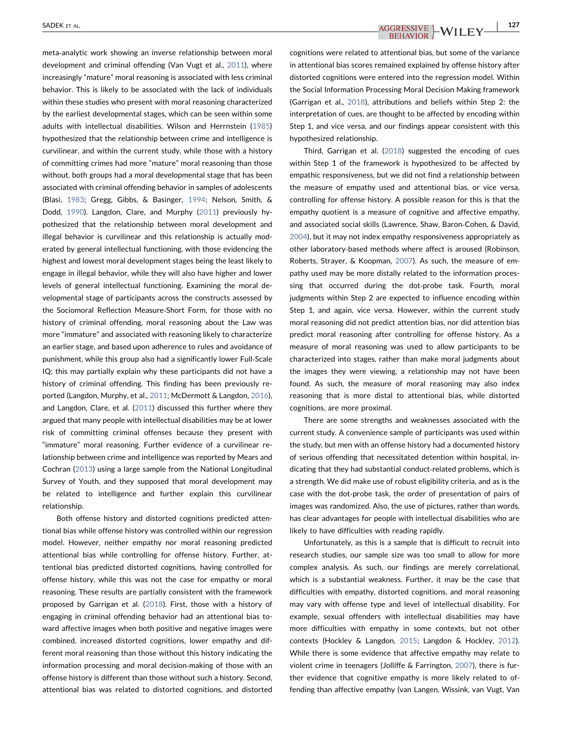meta‐analytic work showing an inverse relationship between moral development and criminal offending (Van Vugt et al., [2011](#page-10-0)), where increasingly "mature" moral reasoning is associated with less criminal behavior. This is likely to be associated with the lack of individuals within these studies who present with moral reasoning characterized by the earliest developmental stages, which can be seen within some adults with intellectual disabilities. Wilson and Herrnstein ([1985](#page-10-0)) hypothesized that the relationship between crime and intelligence is curvilinear, and within the current study, while those with a history of committing crimes had more "mature" moral reasoning than those without, both groups had a moral developmental stage that has been associated with criminal offending behavior in samples of adolescents (Blasi, [1983](#page-8-0); Gregg, Gibbs, & Basinger, [1994](#page-8-0); Nelson, Smith, & Dodd, [1990\)](#page-9-0). Langdon, Clare, and Murphy [\(2011\)](#page-9-0) previously hypothesized that the relationship between moral development and illegal behavior is curvilinear and this relationship is actually moderated by general intellectual functioning, with those evidencing the highest and lowest moral development stages being the least likely to engage in illegal behavior, while they will also have higher and lower levels of general intellectual functioning. Examining the moral developmental stage of participants across the constructs assessed by the Sociomoral Reflection Measure‐Short Form, for those with no history of criminal offending, moral reasoning about the Law was more "immature" and associated with reasoning likely to characterize an earlier stage, and based upon adherence to rules and avoidance of punishment, while this group also had a significantly lower Full‐Scale IQ; this may partially explain why these participants did not have a history of criminal offending. This finding has been previously reported (Langdon, Murphy, et al., [2011;](#page-9-0) McDermott & Langdon, [2016\)](#page-9-0), and Langdon, Clare, et al. [\(2011\)](#page-9-0) discussed this further where they argued that many people with intellectual disabilities may be at lower risk of committing criminal offenses because they present with "immature" moral reasoning. Further evidence of a curvilinear relationship between crime and intelligence was reported by Mears and Cochran [\(2013\)](#page-9-0) using a large sample from the National Longitudinal Survey of Youth, and they supposed that moral development may be related to intelligence and further explain this curvilinear relationship.

Both offense history and distorted cognitions predicted attentional bias while offense history was controlled within our regression model. However, neither empathy nor moral reasoning predicted attentional bias while controlling for offense history. Further, attentional bias predicted distorted cognitions, having controlled for offense history, while this was not the case for empathy or moral reasoning. These results are partially consistent with the framework proposed by Garrigan et al. ([2018](#page-8-0)). First, those with a history of engaging in criminal offending behavior had an attentional bias toward affective images when both positive and negative images were combined, increased distorted cognitions, lower empathy and different moral reasoning than those without this history indicating the information processing and moral decision‐making of those with an offense history is different than those without such a history. Second, attentional bias was related to distorted cognitions, and distorted cognitions were related to attentional bias, but some of the variance in attentional bias scores remained explained by offense history after distorted cognitions were entered into the regression model. Within the Social Information Processing Moral Decision Making framework (Garrigan et al., [2018](#page-8-0)), attributions and beliefs within Step 2: the interpretation of cues, are thought to be affected by encoding within Step 1, and vice versa, and our findings appear consistent with this hypothesized relationship.

Third, Garrigan et al. ([2018](#page-8-0)) suggested the encoding of cues within Step 1 of the framework is hypothesized to be affected by empathic responsiveness, but we did not find a relationship between the measure of empathy used and attentional bias, or vice versa, controlling for offense history. A possible reason for this is that the empathy quotient is a measure of cognitive and affective empathy, and associated social skills (Lawrence, Shaw, Baron‐Cohen, & David, [2004\)](#page-9-0), but it may not index empathy responsiveness appropriately as other laboratory‐based methods where affect is aroused (Robinson, Roberts, Strayer, & Koopman, [2007\)](#page-9-0). As such, the measure of empathy used may be more distally related to the information processing that occurred during the dot-probe task. Fourth, moral judgments within Step 2 are expected to influence encoding within Step 1, and again, vice versa. However, within the current study moral reasoning did not predict attention bias, nor did attention bias predict moral reasoning after controlling for offense history. As a measure of moral reasoning was used to allow participants to be characterized into stages, rather than make moral judgments about the images they were viewing, a relationship may not have been found. As such, the measure of moral reasoning may also index reasoning that is more distal to attentional bias, while distorted cognitions, are more proximal.

There are some strengths and weaknesses associated with the current study. A convenience sample of participants was used within the study, but men with an offense history had a documented history of serious offending that necessitated detention within hospital, indicating that they had substantial conduct‐related problems, which is a strength. We did make use of robust eligibility criteria, and as is the case with the dot‐probe task, the order of presentation of pairs of images was randomized. Also, the use of pictures, rather than words, has clear advantages for people with intellectual disabilities who are likely to have difficulties with reading rapidly.

Unfortunately, as this is a sample that is difficult to recruit into research studies, our sample size was too small to allow for more complex analysis. As such, our findings are merely correlational, which is a substantial weakness. Further, it may be the case that difficulties with empathy, distorted cognitions, and moral reasoning may vary with offense type and level of intellectual disability. For example, sexual offenders with intellectual disabilities may have more difficulties with empathy in some contexts, but not other contexts (Hockley & Langdon, [2015;](#page-8-0) Langdon & Hockley, [2012\)](#page-9-0). While there is some evidence that affective empathy may relate to violent crime in teenagers (Jolliffe & Farrington, [2007](#page-9-0)), there is further evidence that cognitive empathy is more likely related to offending than affective empathy (van Langen, Wissink, van Vugt, Van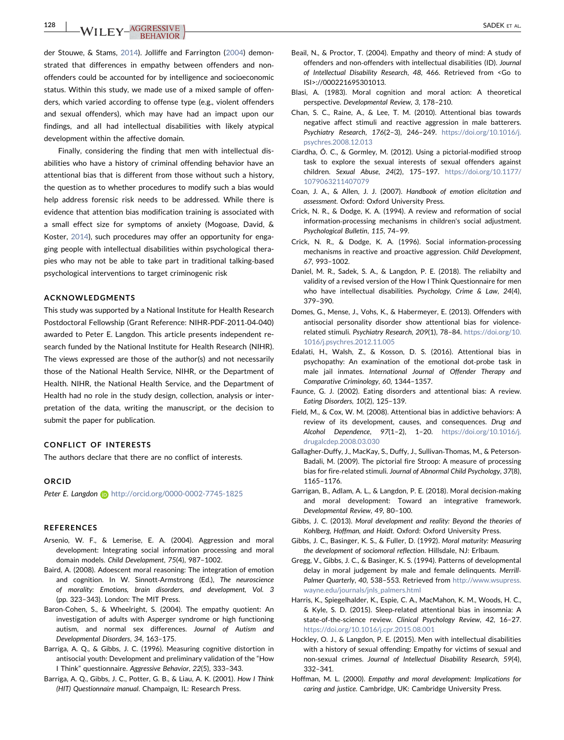<span id="page-8-0"></span>128 | WILEY<sup>AGGRESSIVE</sup>

der Stouwe, & Stams, [2014\)](#page-9-0). Jolliffe and Farrington ([2004\)](#page-9-0) demonstrated that differences in empathy between offenders and non‐ offenders could be accounted for by intelligence and socioeconomic status. Within this study, we made use of a mixed sample of offenders, which varied according to offense type (e.g., violent offenders and sexual offenders), which may have had an impact upon our findings, and all had intellectual disabilities with likely atypical development within the affective domain.

Finally, considering the finding that men with intellectual disabilities who have a history of criminal offending behavior have an attentional bias that is different from those without such a history, the question as to whether procedures to modify such a bias would help address forensic risk needs to be addressed. While there is evidence that attention bias modification training is associated with a small effect size for symptoms of anxiety (Mogoase, David, & Koster, [2014](#page-9-0)), such procedures may offer an opportunity for engaging people with intellectual disabilities within psychological therapies who may not be able to take part in traditional talking‐based psychological interventions to target criminogenic risk

#### ACKNOWLEDGMENTS

This study was supported by a National Institute for Health Research Postdoctoral Fellowship (Grant Reference: NIHR‐PDF‐2011‐04‐040) awarded to Peter E. Langdon. This article presents independent research funded by the National Institute for Health Research (NIHR). The views expressed are those of the author(s) and not necessarily those of the National Health Service, NIHR, or the Department of Health. NIHR, the National Health Service, and the Department of Health had no role in the study design, collection, analysis or interpretation of the data, writing the manuscript, or the decision to submit the paper for publication.

#### CONFLICT OF INTERESTS

The authors declare that there are no conflict of interests.

#### ORCID

Peter E. Langdon **b** <http://orcid.org/0000-0002-7745-1825>

#### REFERENCES

- Arsenio, W. F., & Lemerise, E. A. (2004). Aggression and moral development: Integrating social information processing and moral domain models. Child Development, 75(4), 987–1002.
- Baird, A. (2008). Adoescent moral reasoning: The integration of emotion and cognition. In W. Sinnott-Armstrong (Ed.), The neuroscience of morality: Emotions, brain disorders, and development, Vol. 3 (pp. 323–343). London: The MIT Press.
- Baron‐Cohen, S., & Wheelright, S. (2004). The empathy quotient: An investigation of adults with Asperger syndrome or high functioning autism, and normal sex differences. Journal of Autism and Developmental Disorders, 34, 163–175.
- Barriga, A. Q., & Gibbs, J. C. (1996). Measuring cognitive distortion in antisocial youth: Development and preliminary validation of the "How I Think" questionnaire. Aggressive Behavior, 22(5), 333–343.
- Barriga, A. Q., Gibbs, J. C., Potter, G. B., & Liau, A. K. (2001). How I Think (HIT) Questionnaire manual. Champaign, IL: Research Press.
- Beail, N., & Proctor, T. (2004). Empathy and theory of mind: A study of offenders and non‐offenders with intellectual disabilities (ID). Journal of Intellectual Disability Research, 48, 466. Retrieved from <Go to ISI>://000221695301013.
- Blasi, A. (1983). Moral cognition and moral action: A theoretical perspective. Developmental Review, 3, 178–210.
- Chan, S. C., Raine, A., & Lee, T. M. (2010). Attentional bias towards negative affect stimuli and reactive aggression in male batterers. Psychiatry Research, 176(2–3), 246–249. [https://doi.org/10.1016/j.](https://doi.org/10.1016/j.psychres.2008.12.013) [psychres.2008.12.013](https://doi.org/10.1016/j.psychres.2008.12.013)
- Ciardha, Ó. C., & Gormley, M. (2012). Using a pictorial‐modified stroop task to explore the sexual interests of sexual offenders against children. Sexual Abuse, 24(2), 175–197. [https://doi.org/10.1177/](https://doi.org/10.1177/1079063211407079) [1079063211407079](https://doi.org/10.1177/1079063211407079)
- Coan, J. A., & Allen, J. J. (2007). Handbook of emotion elicitation and assessment. Oxford: Oxford University Press.
- Crick, N. R., & Dodge, K. A. (1994). A review and reformation of social information‐processing mechanisms in children's social adjustment. Psychological Bulletin, 115, 74–99.
- Crick, N. R., & Dodge, K. A. (1996). Social information‐processing mechanisms in reactive and proactive aggression. Child Development, 67, 993–1002.
- Daniel, M. R., Sadek, S. A., & Langdon, P. E. (2018). The reliabilty and validity of a revised version of the How I Think Questionnaire for men who have intellectual disabilities. Psychology, Crime & Law, 24(4), 379–390.
- Domes, G., Mense, J., Vohs, K., & Habermeyer, E. (2013). Offenders with antisocial personality disorder show attentional bias for violence‐ related stimuli. Psychiatry Research, 209(1), 78–84. [https://doi.org/10.](https://doi.org/10.1016/j.psychres.2012.11.005) [1016/j.psychres.2012.11.005](https://doi.org/10.1016/j.psychres.2012.11.005)
- Edalati, H., Walsh, Z., & Kosson, D. S. (2016). Attentional bias in psychopathy: An examination of the emotional dot‐probe task in male jail inmates. International Journal of Offender Therapy and Comparative Criminology, 60, 1344–1357.
- Faunce, G. J. (2002). Eating disorders and attentional bias: A review. Eating Disorders, 10(2), 125–139.
- Field, M., & Cox, W. M. (2008). Attentional bias in addictive behaviors: A review of its development, causes, and consequences. Drug and Alcohol Dependence, 97(1–2), 1–20. [https://doi.org/10.1016/j.](https://doi.org/10.1016/j.drugalcdep.2008.03.030) [drugalcdep.2008.03.030](https://doi.org/10.1016/j.drugalcdep.2008.03.030)
- Gallagher‐Duffy, J., MacKay, S., Duffy, J., Sullivan‐Thomas, M., & Peterson‐ Badali, M. (2009). The pictorial fire Stroop: A measure of processing bias for fire-related stimuli. Journal of Abnormal Child Psychology, 37(8), 1165–1176.
- Garrigan, B., Adlam, A. L., & Langdon, P. E. (2018). Moral decision‐making and moral development: Toward an integrative framework. Developmental Review, 49, 80–100.
- Gibbs, J. C. (2013). Moral development and reality: Beyond the theories of Kohlberg, Hoffman, and Haidt. Oxford: Oxford University Press.
- Gibbs, J. C., Basinger, K. S., & Fuller, D. (1992). Moral maturity: Measuring the development of sociomoral reflection. Hillsdale, NJ: Erlbaum.
- Gregg, V., Gibbs, J. C., & Basinger, K. S. (1994). Patterns of developmental delay in moral judgement by male and female delinquents. Merrill-Palmer Quarterly, 40, 538–553. Retrieved from [http://www.wsupress.](http://www.wsupress.wayne.edu/journals/jnls_palmers.html) wayne.edu/journals/inls\_palmers.html
- Harris, K., Spiegelhalder, K., Espie, C. A., MacMahon, K. M., Woods, H. C., & Kyle, S. D. (2015). Sleep‐related attentional bias in insomnia: A state-of-the-science review. Clinical Psychology Review, 42, 16-27. <https://doi.org/10.1016/j.cpr.2015.08.001>
- Hockley, O. J., & Langdon, P. E. (2015). Men with intellectual disabilities with a history of sexual offending: Empathy for victims of sexual and non-sexual crimes. Journal of Intellectual Disability Research, 59(4), 332–341.
- Hoffman, M. L. (2000). Empathy and moral development: Implications for caring and justice. Cambridge, UK: Cambridge University Press.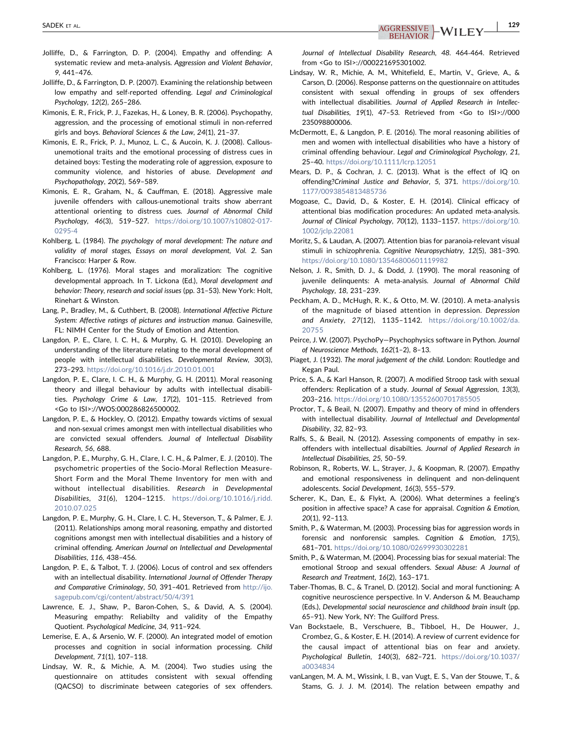<span id="page-9-0"></span>SADEK ET AL.  $\begin{array}{c|c|c|c|c} \text{AGGRESSIVE} & \text{M/II} & \text{EY} \end{array}$   $\begin{array}{c|c|c|c} \text{129} & \text{129} \end{array}$ 

- Jolliffe, D., & Farrington, D. P. (2004). Empathy and offending: A systematic review and meta-analysis. Aggression and Violent Behavior, 9, 441–476.
- Jolliffe, D., & Farrington, D. P. (2007). Examining the relationship between low empathy and self‐reported offending. Legal and Criminological Psychology, 12(2), 265–286.
- Kimonis, E. R., Frick, P. J., Fazekas, H., & Loney, B. R. (2006). Psychopathy, aggression, and the processing of emotional stimuli in non‐referred girls and boys. Behavioral Sciences & the Law, 24(1), 21–37.
- Kimonis, E. R., Frick, P. J., Munoz, L. C., & Aucoin, K. J. (2008). Callous‐ unemotional traits and the emotional processing of distress cues in detained boys: Testing the moderating role of aggression, exposure to community violence, and histories of abuse. Development and Psychopathology, 20(2), 569–589.
- Kimonis, E. R., Graham, N., & Cauffman, E. (2018). Aggressive male juvenile offenders with callous-unemotional traits show aberrant attentional orienting to distress cues. Journal of Abnormal Child Psychology, 46(3), 519–527. [https://doi.org/10.1007/s10802-017-](https://doi.org/10.1007/s10802-017-0295-4) [0295-4](https://doi.org/10.1007/s10802-017-0295-4)
- Kohlberg, L. (1984). The psychology of moral development: The nature and validity of moral stages, Essays on moral development, Vol. 2. San Francisco: Harper & Row.
- Kohlberg, L. (1976). Moral stages and moralization: The cognitive developmental approach. In T. Lickona (Ed.), Moral development and behavior: Theory, research and social issues (pp. 31–53). New York: Holt, Rinehart & Winston.
- Lang, P., Bradley, M., & Cuthbert, B. (2008). International Affective Picture System: Affective ratings of pictures and instruction manua. Gainesville, FL: NIMH Center for the Study of Emotion and Attention.
- Langdon, P. E., Clare, I. C. H., & Murphy, G. H. (2010). Developing an understanding of the literature relating to the moral development of people with intellectual disabilities. Developmental Review, 30(3), 273–293. <https://doi.org/10.1016/j.dr.2010.01.001>
- Langdon, P. E., Clare, I. C. H., & Murphy, G. H. (2011). Moral reasoning theory and illegal behaviour by adults with intellectual disabilities. Psychology Crime & Law, 17(2), 101–115. Retrieved from <Go to ISI>://WOS:000286826500002.
- Langdon, P. E., & Hockley, O. (2012). Empathy towards victims of sexual and non‐sexual crimes amongst men with intellectual disabilities who are convicted sexual offenders. Journal of Intellectual Disability Research, 56, 688.
- Langdon, P. E., Murphy, G. H., Clare, I. C. H., & Palmer, E. J. (2010). The psychometric properties of the Socio‐Moral Reflection Measure‐ Short Form and the Moral Theme Inventory for men with and without intellectual disabilities. Research in Developmental Disabilities, 31(6), 1204–1215. [https://doi.org/10.1016/j.ridd.](https://doi.org/10.1016/j.ridd.2010.07.025) [2010.07.025](https://doi.org/10.1016/j.ridd.2010.07.025)
- Langdon, P. E., Murphy, G. H., Clare, I. C. H., Steverson, T., & Palmer, E. J. (2011). Relationships among moral reasoning, empathy and distorted cognitions amongst men with intellectual disabilities and a history of criminal offending. American Journal on Intellectual and Developmental Disabilities, 116, 438–456.
- Langdon, P. E., & Talbot, T. J. (2006). Locus of control and sex offenders with an intellectual disability. International Journal of Offender Therapy and Comparative Criminology, 50, 391–401. Retrieved from [http://ijo.](http://ijo.sagepub.com/cgi/content/abstract/50/4/391) [sagepub.com/cgi/content/abstract/50/4/391](http://ijo.sagepub.com/cgi/content/abstract/50/4/391)
- Lawrence, E. J., Shaw, P., Baron-Cohen, S., & David, A. S. (2004). Measuring empathy: Reliabilty and validity of the Empathy Quotient. Psychological Medicine, 34, 911–924.
- Lemerise, E. A., & Arsenio, W. F. (2000). An integrated model of emotion processes and cognition in social information processing. Child Development, 71(1), 107–118.
- Lindsay, W. R., & Michie, A. M. (2004). Two studies using the questionnaire on attitudes consistent with sexual offending (QACSO) to discriminate between categories of sex offenders.

Journal of Intellectual Disability Research, 48. 464‐464. Retrieved from <Go to ISI>://000221695301002.

- Lindsay, W. R., Michie, A. M., Whitefield, E., Martin, V., Grieve, A., & Carson, D. (2006). Response patterns on the questionnaire on attitudes consistent with sexual offending in groups of sex offenders with intellectual disabilities. Journal of Applied Research in Intellectual Disabilities, 19(1), 47–53. Retrieved from <Go to ISI>://000 235098800006.
- McDermott, E., & Langdon, P. E. (2016). The moral reasoning abilities of men and women with intellectual disabilities who have a history of criminal offending behaviour. Legal and Criminological Psychology, 21, 25–40. <https://doi.org/10.1111/lcrp.12051>
- Mears, D. P., & Cochran, J. C. (2013). What is the effect of IQ on offending?Criminal Justice and Behavior, 5, 371. [https://doi.org/10.](https://doi.org/10.1177/0093854813485736) [1177/0093854813485736](https://doi.org/10.1177/0093854813485736)
- Mogoase, C., David, D., & Koster, E. H. (2014). Clinical efficacy of attentional bias modification procedures: An updated meta‐analysis. Journal of Clinical Psychology, 70(12), 1133–1157. [https://doi.org/10.](https://doi.org/10.1002/jclp.22081) [1002/jclp.22081](https://doi.org/10.1002/jclp.22081)
- Moritz, S., & Laudan, A. (2007). Attention bias for paranoia‐relevant visual stimuli in schizophrenia. Cognitive Neuropsychiatry, 12(5), 381–390. <https://doi.org/10.1080/13546800601119982>
- Nelson, J. R., Smith, D. J., & Dodd, J. (1990). The moral reasoning of juvenile delinquents: A meta-analysis. Journal of Abnormal Child Psychology, 18, 231–239.
- Peckham, A. D., McHugh, R. K., & Otto, M. W. (2010). A meta‐analysis of the magnitude of biased attention in depression. Depression and Anxiety, 27(12), 1135–1142. [https://doi.org/10.1002/da.](https://doi.org/10.1002/da.20755) [20755](https://doi.org/10.1002/da.20755)
- Peirce, J. W. (2007). PsychoPy—Psychophysics software in Python. Journal of Neuroscience Methods, 162(1–2), 8–13.
- Piaget, J. (1932). The moral judgement of the child. London: Routledge and Kegan Paul.
- Price, S. A., & Karl Hanson, R. (2007). A modified Stroop task with sexual offenders: Replication of a study. Journal of Sexual Aggression, 13(3), 203–216. <https://doi.org/10.1080/13552600701785505>
- Proctor, T., & Beail, N. (2007). Empathy and theory of mind in offenders with intellectual disability. Journal of Intellectual and Developmental Disability, 32, 82–93.
- Ralfs, S., & Beail, N. (2012). Assessing components of empathy in sexoffenders with intellectual disabilties. Journal of Applied Research in Intellectual Disabilities, 25, 50–59.
- Robinson, R., Roberts, W. L., Strayer, J., & Koopman, R. (2007). Empathy and emotional responsiveness in delinquent and non-delinquent adolescents. Social Development, 16(3), 555–579.
- Scherer, K., Dan, E., & Flykt, A. (2006). What determines a feeling's position in affective space? A case for appraisal. Cognition & Emotion, 20(1), 92–113.
- Smith, P., & Waterman, M. (2003). Processing bias for aggression words in forensic and nonforensic samples. Cognition & Emotion, 17(5), 681–701. <https://doi.org/10.1080/02699930302281>
- Smith, P., & Waterman, M. (2004). Processing bias for sexual material: The emotional Stroop and sexual offenders. Sexual Abuse: A Journal of Research and Treatment, 16(2), 163–171.
- Taber‐Thomas, B. C., & Tranel, D. (2012). Social and moral functioning: A cognitive neuroscience perspective. In V. Anderson & M. Beauchamp (Eds.), Developmental social neuroscience and childhood brain insult (pp. 65–91). New York, NY: The Guilford Press.
- Van Bockstaele, B., Verschuere, B., Tibboel, H., De Houwer, J., Crombez, G., & Koster, E. H. (2014). A review of current evidence for the causal impact of attentional bias on fear and anxiety. Psychological Bulletin, 140(3), 682–721. [https://doi.org/10.1037/](https://doi.org/10.1037/a0034834) [a0034834](https://doi.org/10.1037/a0034834)
- vanLangen, M. A. M., Wissink, I. B., van Vugt, E. S., Van der Stouwe, T., & Stams, G. J. J. M. (2014). The relation between empathy and